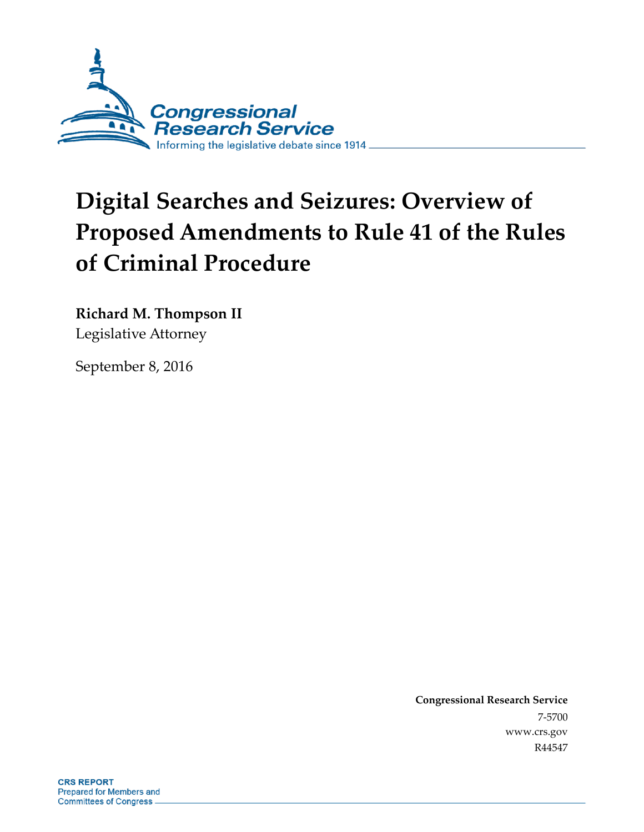

# **Digital Searches and Seizures: Overview of Proposed Amendments to Rule 41 of the Rules of Criminal Procedure**

**Richard M. Thompson II** Legislative Attorney

September 8, 2016

**Congressional Research Service** 7-5700 www.crs.gov R44547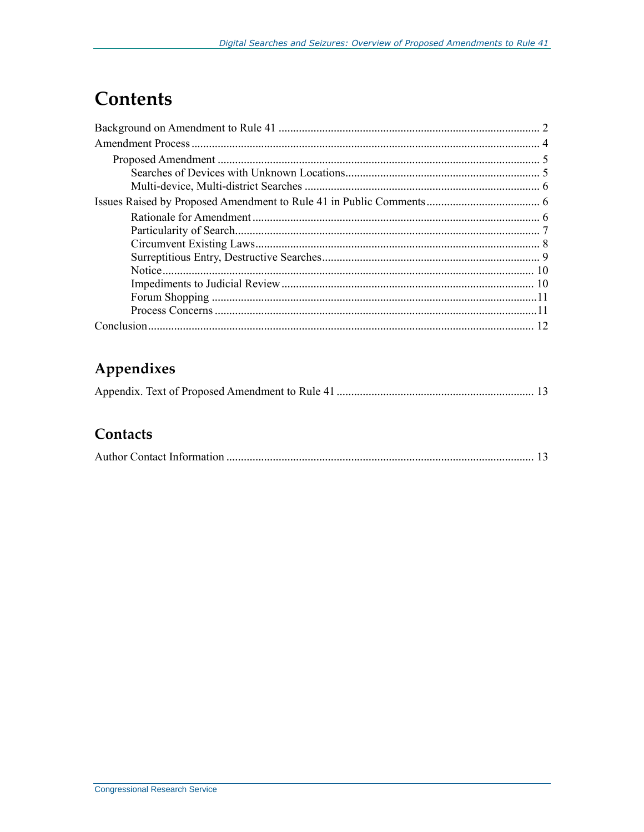### **Contents**

### Appendixes

#### Contacts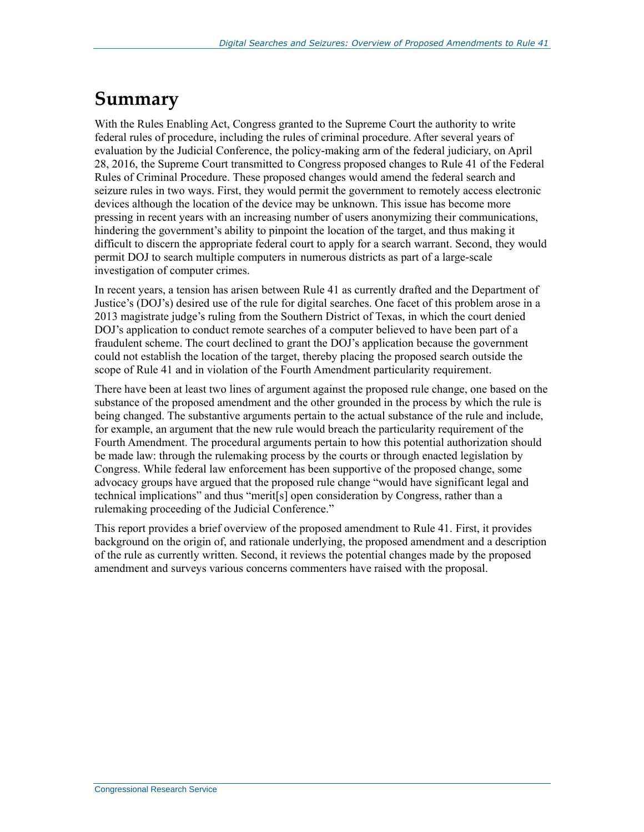### **Summary**

With the Rules Enabling Act, Congress granted to the Supreme Court the authority to write federal rules of procedure, including the rules of criminal procedure. After several years of evaluation by the Judicial Conference, the policy-making arm of the federal judiciary, on April 28, 2016, the Supreme Court transmitted to Congress proposed changes to Rule 41 of the Federal Rules of Criminal Procedure. These proposed changes would amend the federal search and seizure rules in two ways. First, they would permit the government to remotely access electronic devices although the location of the device may be unknown. This issue has become more pressing in recent years with an increasing number of users anonymizing their communications, hindering the government's ability to pinpoint the location of the target, and thus making it difficult to discern the appropriate federal court to apply for a search warrant. Second, they would permit DOJ to search multiple computers in numerous districts as part of a large-scale investigation of computer crimes.

In recent years, a tension has arisen between Rule 41 as currently drafted and the Department of Justice's (DOJ's) desired use of the rule for digital searches. One facet of this problem arose in a 2013 magistrate judge's ruling from the Southern District of Texas, in which the court denied DOJ's application to conduct remote searches of a computer believed to have been part of a fraudulent scheme. The court declined to grant the DOJ's application because the government could not establish the location of the target, thereby placing the proposed search outside the scope of Rule 41 and in violation of the Fourth Amendment particularity requirement.

There have been at least two lines of argument against the proposed rule change, one based on the substance of the proposed amendment and the other grounded in the process by which the rule is being changed. The substantive arguments pertain to the actual substance of the rule and include, for example, an argument that the new rule would breach the particularity requirement of the Fourth Amendment. The procedural arguments pertain to how this potential authorization should be made law: through the rulemaking process by the courts or through enacted legislation by Congress. While federal law enforcement has been supportive of the proposed change, some advocacy groups have argued that the proposed rule change "would have significant legal and technical implications" and thus "merit[s] open consideration by Congress, rather than a rulemaking proceeding of the Judicial Conference."

This report provides a brief overview of the proposed amendment to Rule 41. First, it provides background on the origin of, and rationale underlying, the proposed amendment and a description of the rule as currently written. Second, it reviews the potential changes made by the proposed amendment and surveys various concerns commenters have raised with the proposal.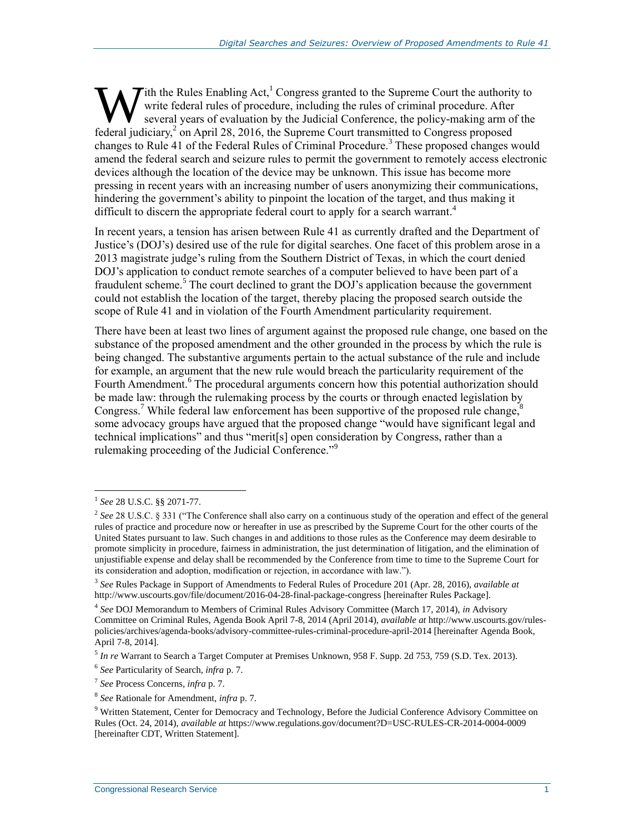Tith the Rules Enabling Act,<sup>1</sup> Congress granted to the Supreme Court the authority to write federal rules of procedure, including the rules of criminal procedure. After several years of evaluation by the Judicial Conference, the policy-making arm of the **Ferry 1.5** Tith the Rules Enabling Act,<sup>1</sup> Congress granted to the Supreme Court the authorit write federal rules of procedure, including the rules of criminal procedure. After several years of evaluation by the Judicial changes to Rule 41 of the Federal Rules of Criminal Procedure.<sup>3</sup> These proposed changes would amend the federal search and seizure rules to permit the government to remotely access electronic devices although the location of the device may be unknown. This issue has become more pressing in recent years with an increasing number of users anonymizing their communications, hindering the government's ability to pinpoint the location of the target, and thus making it difficult to discern the appropriate federal court to apply for a search warrant.<sup>4</sup>

In recent years, a tension has arisen between Rule 41 as currently drafted and the Department of Justice's (DOJ's) desired use of the rule for digital searches. One facet of this problem arose in a 2013 magistrate judge's ruling from the Southern District of Texas, in which the court denied DOJ's application to conduct remote searches of a computer believed to have been part of a fraudulent scheme.<sup>5</sup> The court declined to grant the DOJ's application because the government could not establish the location of the target, thereby placing the proposed search outside the scope of Rule 41 and in violation of the Fourth Amendment particularity requirement.

There have been at least two lines of argument against the proposed rule change, one based on the substance of the proposed amendment and the other grounded in the process by which the rule is being changed. The substantive arguments pertain to the actual substance of the rule and include for example, an argument that the new rule would breach the particularity requirement of the Fourth Amendment.<sup>6</sup> The procedural arguments concern how this potential authorization should be made law: through the rulemaking process by the courts or through enacted legislation by Congress.<sup>7</sup> While federal law enforcement has been supportive of the proposed rule change, $8$ some advocacy groups have argued that the proposed change "would have significant legal and technical implications" and thus "merit[s] open consideration by Congress, rather than a rulemaking proceeding of the Judicial Conference."<sup>9</sup>

<sup>1</sup> *See* 28 U.S.C. §§ 2071-77.

<sup>2</sup> *See* 28 U.S.C. § 331 ("The Conference shall also carry on a continuous study of the operation and effect of the general rules of practice and procedure now or hereafter in use as prescribed by the Supreme Court for the other courts of the United States pursuant to law. Such changes in and additions to those rules as the Conference may deem desirable to promote simplicity in procedure, fairness in administration, the just determination of litigation, and the elimination of unjustifiable expense and delay shall be recommended by the Conference from time to time to the Supreme Court for its consideration and adoption, modification or rejection, in accordance with law.").

<sup>3</sup> *See* Rules Package in Support of Amendments to Federal Rules of Procedure 201 (Apr. 28, 2016), *available at*  http://www.uscourts.gov/file/document/2016-04-28-final-package-congress [hereinafter Rules Package].

<sup>4</sup> *See* DOJ Memorandum to Members of Criminal Rules Advisory Committee (March 17, 2014), *in* Advisory Committee on Criminal Rules, Agenda Book April 7-8, 2014 (April 2014), *available at* http://www.uscourts.gov/rulespolicies/archives/agenda-books/advisory-committee-rules-criminal-procedure-april-2014 [hereinafter Agenda Book, April 7-8, 2014].

<sup>5</sup> *In re* Warrant to Search a Target Computer at Premises Unknown, 958 F. Supp. 2d 753, 759 (S.D. Tex. 2013).

<sup>6</sup> *See* Particularity of Search, *infra* p. 7.

<sup>7</sup> *See* Process Concerns, *infra* p. 7.

<sup>8</sup> *See* Rationale for Amendment, *infra* p. 7.

<sup>&</sup>lt;sup>9</sup> Written Statement, Center for Democracy and Technology, Before the Judicial Conference Advisory Committee on Rules (Oct. 24, 2014), *available at* https://www.regulations.gov/document?D=USC-RULES-CR-2014-0004-0009 [hereinafter CDT, Written Statement].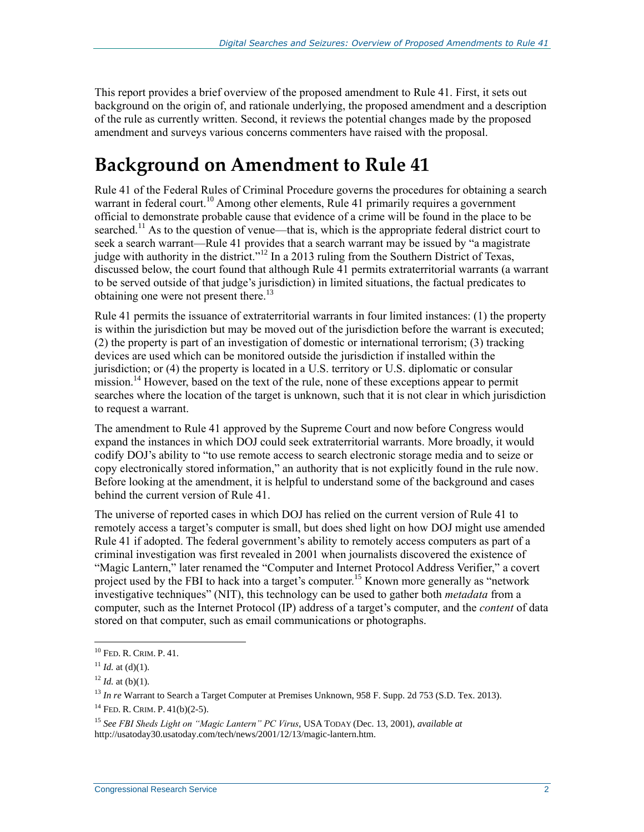This report provides a brief overview of the proposed amendment to Rule 41. First, it sets out background on the origin of, and rationale underlying, the proposed amendment and a description of the rule as currently written. Second, it reviews the potential changes made by the proposed amendment and surveys various concerns commenters have raised with the proposal.

# **Background on Amendment to Rule 41**

Rule 41 of the Federal Rules of Criminal Procedure governs the procedures for obtaining a search warrant in federal court.<sup>10</sup> Among other elements, Rule 41 primarily requires a government official to demonstrate probable cause that evidence of a crime will be found in the place to be searched.<sup>11</sup> As to the question of venue—that is, which is the appropriate federal district court to seek a search warrant—Rule 41 provides that a search warrant may be issued by "a magistrate" judge with authority in the district."<sup>12</sup> In a 2013 ruling from the Southern District of Texas, discussed below, the court found that although Rule 41 permits extraterritorial warrants (a warrant to be served outside of that judge's jurisdiction) in limited situations, the factual predicates to obtaining one were not present there.<sup>13</sup>

Rule 41 permits the issuance of extraterritorial warrants in four limited instances: (1) the property is within the jurisdiction but may be moved out of the jurisdiction before the warrant is executed; (2) the property is part of an investigation of domestic or international terrorism; (3) tracking devices are used which can be monitored outside the jurisdiction if installed within the jurisdiction; or (4) the property is located in a U.S. territory or U.S. diplomatic or consular mission.<sup>14</sup> However, based on the text of the rule, none of these exceptions appear to permit searches where the location of the target is unknown, such that it is not clear in which jurisdiction to request a warrant.

The amendment to Rule 41 approved by the Supreme Court and now before Congress would expand the instances in which DOJ could seek extraterritorial warrants. More broadly, it would codify DOJ's ability to "to use remote access to search electronic storage media and to seize or copy electronically stored information," an authority that is not explicitly found in the rule now. Before looking at the amendment, it is helpful to understand some of the background and cases behind the current version of Rule 41.

The universe of reported cases in which DOJ has relied on the current version of Rule 41 to remotely access a target's computer is small, but does shed light on how DOJ might use amended Rule 41 if adopted. The federal government's ability to remotely access computers as part of a criminal investigation was first revealed in 2001 when journalists discovered the existence of "Magic Lantern," later renamed the "Computer and Internet Protocol Address Verifier," a covert project used by the FBI to hack into a target's computer.<sup>15</sup> Known more generally as "network" investigative techniques" (NIT), this technology can be used to gather both *metadata* from a computer, such as the Internet Protocol (IP) address of a target's computer, and the *content* of data stored on that computer, such as email communications or photographs.

<sup>10</sup> FED. R. CRIM. P. 41.

 $11$  *Id.* at (d)(1).

 $12$  *Id.* at (b)(1).

<sup>13</sup> *In re* Warrant to Search a Target Computer at Premises Unknown, 958 F. Supp. 2d 753 (S.D. Tex. 2013).

<sup>14</sup> FED. R. CRIM. P. 41(b)(2-5).

<sup>15</sup> *See FBI Sheds Light on "Magic Lantern" PC Virus*, USA TODAY (Dec. 13, 2001), *available at*  http://usatoday30.usatoday.com/tech/news/2001/12/13/magic-lantern.htm.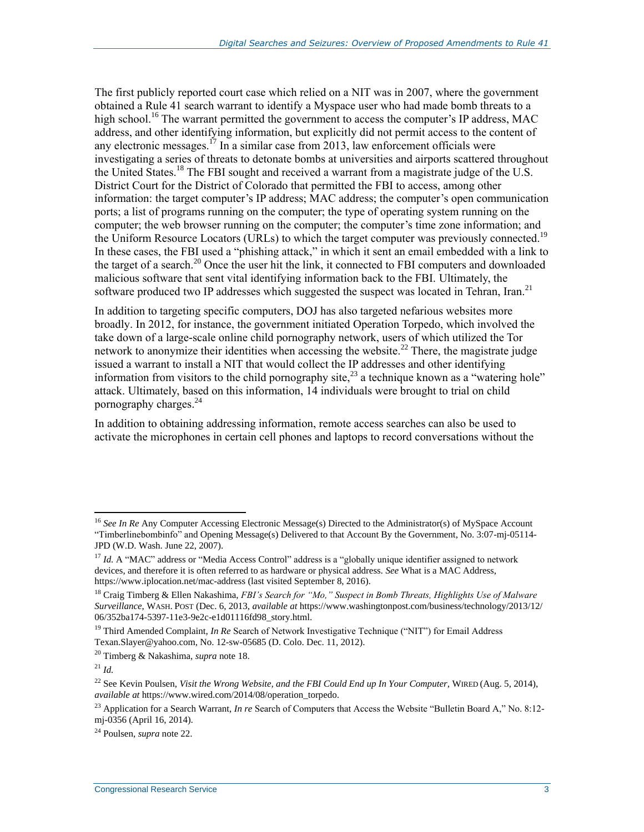The first publicly reported court case which relied on a NIT was in 2007, where the government obtained a Rule 41 search warrant to identify a Myspace user who had made bomb threats to a high school.<sup>16</sup> The warrant permitted the government to access the computer's IP address, MAC address, and other identifying information, but explicitly did not permit access to the content of any electronic messages.<sup>17</sup> In a similar case from 2013, law enforcement officials were investigating a series of threats to detonate bombs at universities and airports scattered throughout the United States.<sup>18</sup> The FBI sought and received a warrant from a magistrate judge of the U.S. District Court for the District of Colorado that permitted the FBI to access, among other information: the target computer's IP address; MAC address; the computer's open communication ports; a list of programs running on the computer; the type of operating system running on the computer; the web browser running on the computer; the computer's time zone information; and the Uniform Resource Locators (URLs) to which the target computer was previously connected.<sup>19</sup> In these cases, the FBI used a "phishing attack," in which it sent an email embedded with a link to the target of a search.<sup>20</sup> Once the user hit the link, it connected to FBI computers and downloaded malicious software that sent vital identifying information back to the FBI. Ultimately, the software produced two IP addresses which suggested the suspect was located in Tehran, Iran.<sup>21</sup>

In addition to targeting specific computers, DOJ has also targeted nefarious websites more broadly. In 2012, for instance, the government initiated Operation Torpedo, which involved the take down of a large-scale online child pornography network, users of which utilized the Tor network to anonymize their identities when accessing the website.<sup>22</sup> There, the magistrate judge issued a warrant to install a NIT that would collect the IP addresses and other identifying information from visitors to the child pornography site,<sup>23</sup> a technique known as a "watering hole" attack. Ultimately, based on this information, 14 individuals were brought to trial on child pornography charges. $^{24}$ 

In addition to obtaining addressing information, remote access searches can also be used to activate the microphones in certain cell phones and laptops to record conversations without the

<sup>&</sup>lt;sup>16</sup> See In Re Any Computer Accessing Electronic Message(s) Directed to the Administrator(s) of MySpace Account "Timberlinebombinfo" and Opening Message(s) Delivered to that Account By the Government, No. 3:07-mj-05114- JPD (W.D. Wash. June 22, 2007).

<sup>&</sup>lt;sup>17</sup> *Id.* A "MAC" address or "Media Access Control" address is a "globally unique identifier assigned to network devices, and therefore it is often referred to as hardware or physical address. *See* What is a MAC Address, https://www.iplocation.net/mac-address (last visited September 8, 2016).

<sup>18</sup> Craig Timberg & Ellen Nakashima, *FBI's Search for "Mo," Suspect in Bomb Threats, Highlights Use of Malware Surveillance*, WASH. POST (Dec. 6, 2013, *available at* https://www.washingtonpost.com/business/technology/2013/12/ 06/352ba174-5397-11e3-9e2c-e1d01116fd98\_story.html.

<sup>19</sup> Third Amended Complaint, *In Re* Search of Network Investigative Technique ("NIT") for Email Address Texan.Slayer@yahoo.com, No. 12-sw-05685 (D. Colo. Dec. 11, 2012).

<sup>20</sup> Timberg & Nakashima, *supra* note 18.

 $^{21}$  *Id.* 

<sup>&</sup>lt;sup>22</sup> See Kevin Poulsen, *Visit the Wrong Website, and the FBI Could End up In Your Computer*, WIRED (Aug. 5, 2014), *available at* https://www.wired.com/2014/08/operation\_torpedo.

<sup>&</sup>lt;sup>23</sup> Application for a Search Warrant, *In re* Search of Computers that Access the Website "Bulletin Board A," No. 8:12mj-0356 (April 16, 2014).

<sup>24</sup> Poulsen, *supra* note 22.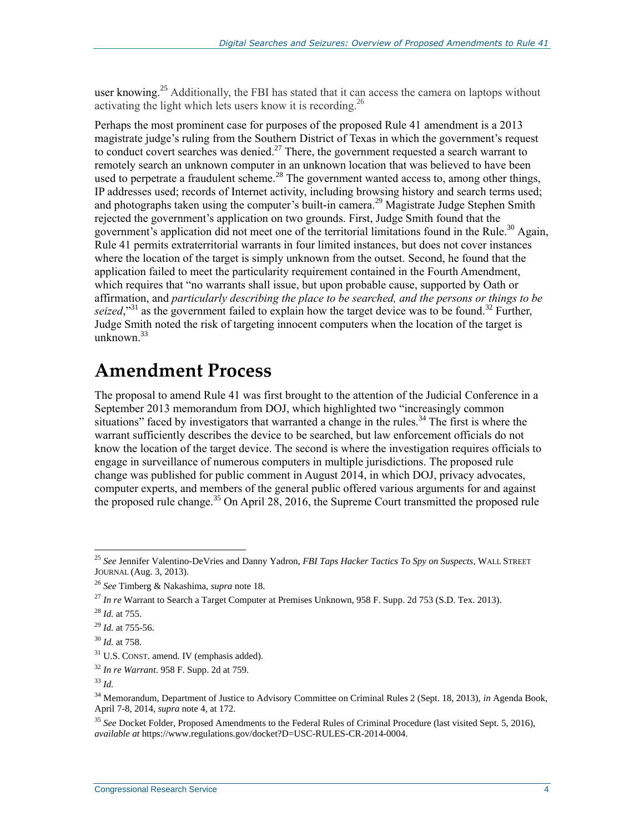user knowing.<sup>25</sup> Additionally, the FBI has stated that it can access the camera on laptops without activating the light which lets users know it is recording.<sup>26</sup>

Perhaps the most prominent case for purposes of the proposed Rule 41 amendment is a 2013 magistrate judge's ruling from the Southern District of Texas in which the government's request to conduct covert searches was denied.<sup>27</sup> There, the government requested a search warrant to remotely search an unknown computer in an unknown location that was believed to have been used to perpetrate a fraudulent scheme.<sup>28</sup> The government wanted access to, among other things, IP addresses used; records of Internet activity, including browsing history and search terms used; and photographs taken using the computer's built-in camera.<sup>29</sup> Magistrate Judge Stephen Smith rejected the government's application on two grounds. First, Judge Smith found that the government's application did not meet one of the territorial limitations found in the Rule.<sup>30</sup> Again, Rule 41 permits extraterritorial warrants in four limited instances, but does not cover instances where the location of the target is simply unknown from the outset. Second, he found that the application failed to meet the particularity requirement contained in the Fourth Amendment, which requires that "no warrants shall issue, but upon probable cause, supported by Oath or affirmation, and *particularly describing the place to be searched, and the persons or things to be*  seized,"<sup>31</sup> as the government failed to explain how the target device was to be found.<sup>32</sup> Further, Judge Smith noted the risk of targeting innocent computers when the location of the target is unknown. $33$ 

### **Amendment Process**

The proposal to amend Rule 41 was first brought to the attention of the Judicial Conference in a September 2013 memorandum from DOJ, which highlighted two "increasingly common situations" faced by investigators that warranted a change in the rules.<sup>34</sup> The first is where the warrant sufficiently describes the device to be searched, but law enforcement officials do not know the location of the target device. The second is where the investigation requires officials to engage in surveillance of numerous computers in multiple jurisdictions. The proposed rule change was published for public comment in August 2014, in which DOJ, privacy advocates, computer experts, and members of the general public offered various arguments for and against the proposed rule change.<sup>35</sup> On April 28, 2016, the Supreme Court transmitted the proposed rule

<sup>25</sup> *See* Jennifer Valentino-DeVries and Danny Yadron, *FBI Taps Hacker Tactics To Spy on Suspects*, WALL STREET JOURNAL (Aug. 3, 2013).

<sup>26</sup> *See* Timberg & Nakashima, *supra* note 18.

<sup>27</sup> *In re* Warrant to Search a Target Computer at Premises Unknown, 958 F. Supp. 2d 753 (S.D. Tex. 2013).

<sup>28</sup> *Id.* at 755.

<sup>29</sup> *Id.* at 755-56.

<sup>30</sup> *Id.* at 758.

<sup>&</sup>lt;sup>31</sup> U.S. CONST. amend. IV (emphasis added).

<sup>32</sup> *In re Warrant*. 958 F. Supp. 2d at 759.

<sup>33</sup> *Id.*

<sup>34</sup> Memorandum, Department of Justice to Advisory Committee on Criminal Rules 2 (Sept. 18, 2013), *in* Agenda Book, April 7-8, 2014, *supra* note 4, at 172.

<sup>35</sup> *See* Docket Folder, Proposed Amendments to the Federal Rules of Criminal Procedure (last visited Sept. 5, 2016), *available at* https://www.regulations.gov/docket?D=USC-RULES-CR-2014-0004.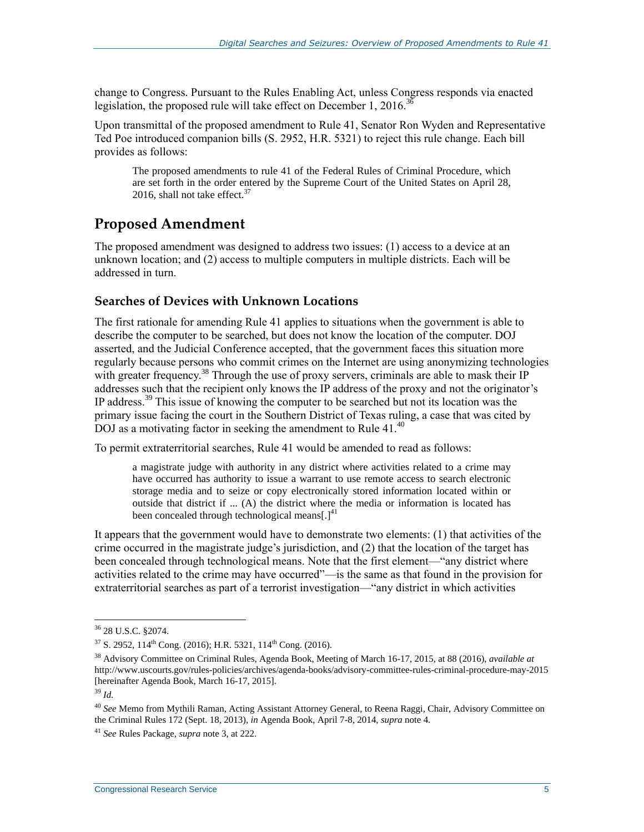change to Congress. Pursuant to the Rules Enabling Act, unless Congress responds via enacted legislation, the proposed rule will take effect on December 1, 2016.<sup>36</sup>

Upon transmittal of the proposed amendment to Rule 41, Senator Ron Wyden and Representative Ted Poe introduced companion bills (S. 2952, [H.R. 5321\)](http://www.congress.gov/cgi-lis/bdquery/z?d114:H.R.5321:) to reject this rule change. Each bill provides as follows:

The proposed amendments to rule 41 of the Federal Rules of Criminal Procedure, which are set forth in the order entered by the Supreme Court of the United States on April 28, 2016, shall not take effect. $37$ 

#### **Proposed Amendment**

The proposed amendment was designed to address two issues: (1) access to a device at an unknown location; and (2) access to multiple computers in multiple districts. Each will be addressed in turn.

#### **Searches of Devices with Unknown Locations**

The first rationale for amending Rule 41 applies to situations when the government is able to describe the computer to be searched, but does not know the location of the computer. DOJ asserted, and the Judicial Conference accepted, that the government faces this situation more regularly because persons who commit crimes on the Internet are using anonymizing technologies with greater frequency.<sup>38</sup> Through the use of proxy servers, criminals are able to mask their IP addresses such that the recipient only knows the IP address of the proxy and not the originator's IP address.<sup>39</sup> This issue of knowing the computer to be searched but not its location was the primary issue facing the court in the Southern District of Texas ruling, a case that was cited by DOJ as a motivating factor in seeking the amendment to Rule 41.<sup>40</sup>

To permit extraterritorial searches, Rule 41 would be amended to read as follows:

a magistrate judge with authority in any district where activities related to a crime may have occurred has authority to issue a warrant to use remote access to search electronic storage media and to seize or copy electronically stored information located within or outside that district if ... (A) the district where the media or information is located has been concealed through technological means[ $.1<sup>41</sup>$ 

It appears that the government would have to demonstrate two elements: (1) that activities of the crime occurred in the magistrate judge's jurisdiction, and (2) that the location of the target has been concealed through technological means. Note that the first element—"any district where activities related to the crime may have occurred"—is the same as that found in the provision for extraterritorial searches as part of a terrorist investigation—"any district in which activities

<sup>36</sup> 28 U.S.C. §2074.

 $37$  S. 2952, 114<sup>th</sup> Cong. (2016); H.R. 5321, 114<sup>th</sup> Cong. (2016).

<sup>38</sup> Advisory Committee on Criminal Rules, Agenda Book, Meeting of March 16-17, 2015, at 88 (2016), *available at*  http://www.uscourts.gov/rules-policies/archives/agenda-books/advisory-committee-rules-criminal-procedure-may-2015 [hereinafter Agenda Book, March 16-17, 2015].

<sup>39</sup> *Id.*

<sup>40</sup> *See* Memo from Mythili Raman, Acting Assistant Attorney General, to Reena Raggi, Chair, Advisory Committee on the Criminal Rules 172 (Sept. 18, 2013), *in* Agenda Book, April 7-8, 2014, *supra* note 4.

<sup>41</sup> *See* Rules Package, *supra* note 3, at 222.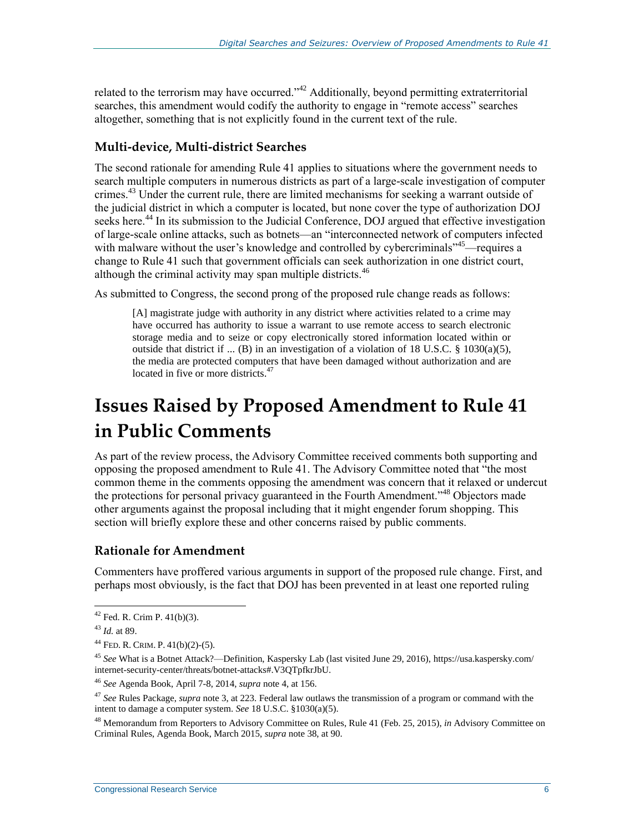related to the terrorism may have occurred."<sup>42</sup> Additionally, beyond permitting extraterritorial searches, this amendment would codify the authority to engage in "remote access" searches altogether, something that is not explicitly found in the current text of the rule.

#### **Multi-device, Multi-district Searches**

The second rationale for amending Rule 41 applies to situations where the government needs to search multiple computers in numerous districts as part of a large-scale investigation of computer crimes.<sup>43</sup> Under the current rule, there are limited mechanisms for seeking a warrant outside of the judicial district in which a computer is located, but none cover the type of authorization DOJ seeks here.<sup>44</sup> In its submission to the Judicial Conference, DOJ argued that effective investigation of large-scale online attacks, such as botnets—an "interconnected network of computers infected with malware without the user's knowledge and controlled by cybercriminals<sup>745</sup>—requires a change to Rule 41 such that government officials can seek authorization in one district court, although the criminal activity may span multiple districts.<sup>46</sup>

As submitted to Congress, the second prong of the proposed rule change reads as follows:

[A] magistrate judge with authority in any district where activities related to a crime may have occurred has authority to issue a warrant to use remote access to search electronic storage media and to seize or copy electronically stored information located within or outside that district if ... (B) in an investigation of a violation of 18 U.S.C. § 1030(a)(5), the media are protected computers that have been damaged without authorization and are located in five or more districts. $47$ 

# **Issues Raised by Proposed Amendment to Rule 41 in Public Comments**

As part of the review process, the Advisory Committee received comments both supporting and opposing the proposed amendment to Rule 41. The Advisory Committee noted that "the most common theme in the comments opposing the amendment was concern that it relaxed or undercut the protections for personal privacy guaranteed in the Fourth Amendment."<sup>48</sup> Objectors made other arguments against the proposal including that it might engender forum shopping. This section will briefly explore these and other concerns raised by public comments.

#### **Rationale for Amendment**

Commenters have proffered various arguments in support of the proposed rule change. First, and perhaps most obviously, is the fact that DOJ has been prevented in at least one reported ruling

 $42$  Fed. R. Crim P.  $41(b)(3)$ .

<sup>43</sup> *Id.* at 89.

<sup>44</sup> FED. R. CRIM. P. 41(b)(2)-(5).

<sup>45</sup> *See* What is a Botnet Attack?—Definition, Kaspersky Lab (last visited June 29, 2016), https://usa.kaspersky.com/ internet-security-center/threats/botnet-attacks#.V3QTpfkrJbU.

<sup>46</sup> *See* Agenda Book, April 7-8, 2014, *supra* note 4, at 156.

<sup>47</sup> *See* Rules Package, *supra* note 3, at 223. Federal law outlaws the transmission of a program or command with the intent to damage a computer system. *See* 18 U.S.C. §1030(a)(5).

<sup>48</sup> Memorandum from Reporters to Advisory Committee on Rules, Rule 41 (Feb. 25, 2015), *in* Advisory Committee on Criminal Rules, Agenda Book, March 2015, *supra* note 38, at 90.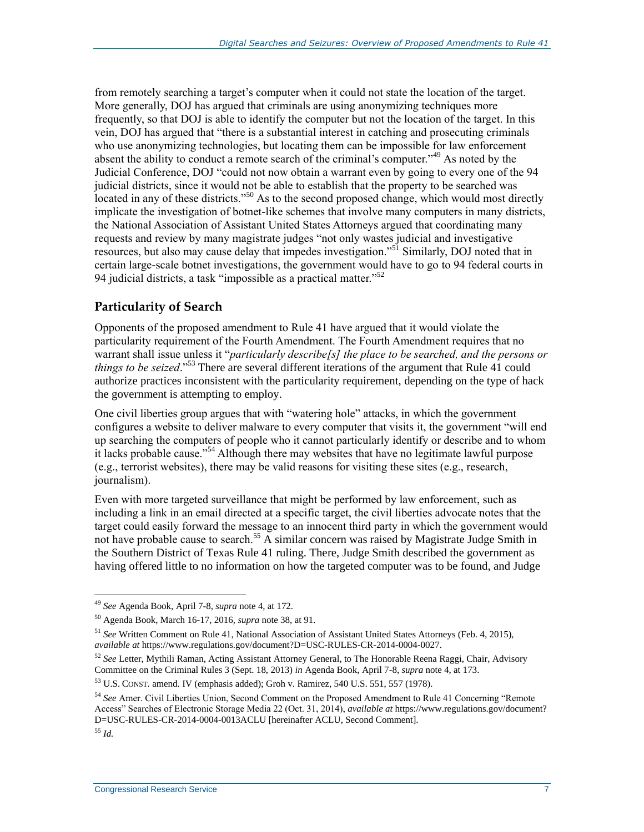from remotely searching a target's computer when it could not state the location of the target. More generally, DOJ has argued that criminals are using anonymizing techniques more frequently, so that DOJ is able to identify the computer but not the location of the target. In this vein, DOJ has argued that "there is a substantial interest in catching and prosecuting criminals who use anonymizing technologies, but locating them can be impossible for law enforcement absent the ability to conduct a remote search of the criminal's computer."<sup>49</sup> As noted by the Judicial Conference, DOJ "could not now obtain a warrant even by going to every one of the 94 judicial districts, since it would not be able to establish that the property to be searched was located in any of these districts."<sup>50</sup> As to the second proposed change, which would most directly implicate the investigation of botnet-like schemes that involve many computers in many districts, the National Association of Assistant United States Attorneys argued that coordinating many requests and review by many magistrate judges "not only wastes judicial and investigative resources, but also may cause delay that impedes investigation."<sup>51</sup> Similarly, DOJ noted that in certain large-scale botnet investigations, the government would have to go to 94 federal courts in 94 judicial districts, a task "impossible as a practical matter."<sup>52</sup>

#### **Particularity of Search**

Opponents of the proposed amendment to Rule 41 have argued that it would violate the particularity requirement of the Fourth Amendment. The Fourth Amendment requires that no warrant shall issue unless it "*particularly describe[s] the place to be searched, and the persons or things to be seized*." <sup>53</sup> There are several different iterations of the argument that Rule 41 could authorize practices inconsistent with the particularity requirement, depending on the type of hack the government is attempting to employ.

One civil liberties group argues that with "watering hole" attacks, in which the government configures a website to deliver malware to every computer that visits it, the government "will end up searching the computers of people who it cannot particularly identify or describe and to whom it lacks probable cause."<sup>54</sup> Although there may websites that have no legitimate lawful purpose (e.g., terrorist websites), there may be valid reasons for visiting these sites (e.g., research, journalism).

Even with more targeted surveillance that might be performed by law enforcement, such as including a link in an email directed at a specific target, the civil liberties advocate notes that the target could easily forward the message to an innocent third party in which the government would not have probable cause to search.<sup>55</sup> A similar concern was raised by Magistrate Judge Smith in the Southern District of Texas Rule 41 ruling. There, Judge Smith described the government as having offered little to no information on how the targeted computer was to be found, and Judge

<sup>49</sup> *See* Agenda Book, April 7-8, *supra* note 4, at 172.

<sup>50</sup> Agenda Book, March 16-17, 2016, *supra* note 38, at 91.

<sup>51</sup> *See* Written Comment on Rule 41, National Association of Assistant United States Attorneys (Feb. 4, 2015), *available at* https://www.regulations.gov/document?D=USC-RULES-CR-2014-0004-0027.

<sup>52</sup> *See* Letter, Mythili Raman, Acting Assistant Attorney General, to The Honorable Reena Raggi, Chair, Advisory Committee on the Criminal Rules 3 (Sept. 18, 2013) *in* Agenda Book, April 7-8, *supra* note 4, at 173.

<sup>53</sup> U.S. CONST. amend. IV (emphasis added); Groh v. Ramirez, 540 U.S. 551, 557 (1978).

<sup>54</sup> *See* Amer. Civil Liberties Union, Second Comment on the Proposed Amendment to Rule 41 Concerning "Remote Access" Searches of Electronic Storage Media 22 (Oct. 31, 2014), *available at* https://www.regulations.gov/document? D=USC-RULES-CR-2014-0004-0013ACLU [hereinafter ACLU, Second Comment].

<sup>55</sup> *Id.*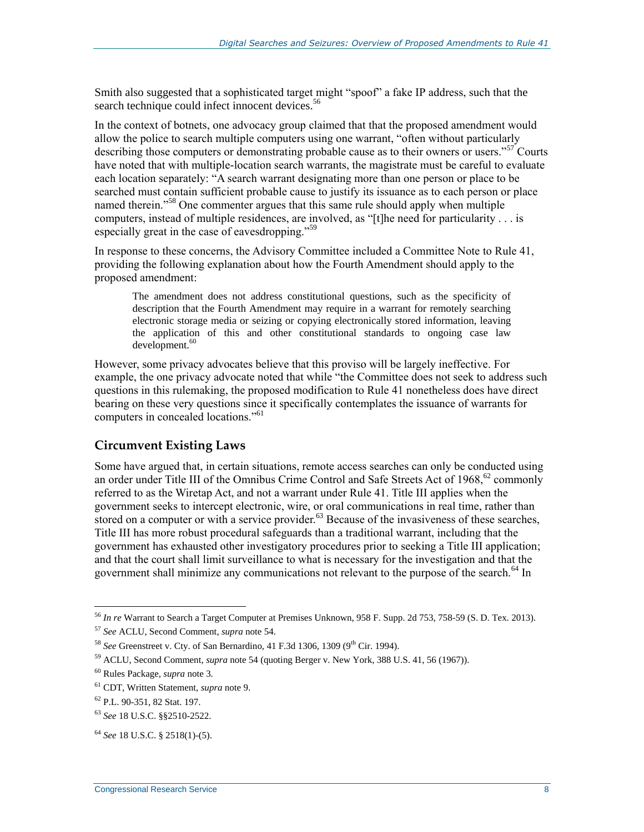Smith also suggested that a sophisticated target might "spoof" a fake IP address, such that the search technique could infect innocent devices.<sup>56</sup>

In the context of botnets, one advocacy group claimed that that the proposed amendment would allow the police to search multiple computers using one warrant, "often without particularly describing those computers or demonstrating probable cause as to their owners or users.<sup>557</sup> Courts have noted that with multiple-location search warrants, the magistrate must be careful to evaluate each location separately: "A search warrant designating more than one person or place to be searched must contain sufficient probable cause to justify its issuance as to each person or place named therein."<sup>58</sup> One commenter argues that this same rule should apply when multiple computers, instead of multiple residences, are involved, as "[t]he need for particularity . . . is especially great in the case of eavesdropping."<sup>59</sup>

In response to these concerns, the Advisory Committee included a Committee Note to Rule 41, providing the following explanation about how the Fourth Amendment should apply to the proposed amendment:

The amendment does not address constitutional questions, such as the specificity of description that the Fourth Amendment may require in a warrant for remotely searching electronic storage media or seizing or copying electronically stored information, leaving the application of this and other constitutional standards to ongoing case law  $development.<sup>60</sup>$ 

However, some privacy advocates believe that this proviso will be largely ineffective. For example, the one privacy advocate noted that while "the Committee does not seek to address such questions in this rulemaking, the proposed modification to Rule 41 nonetheless does have direct bearing on these very questions since it specifically contemplates the issuance of warrants for computers in concealed locations."<sup>61</sup>

#### **Circumvent Existing Laws**

Some have argued that, in certain situations, remote access searches can only be conducted using an order under Title III of the Omnibus Crime Control and Safe Streets Act of 1968,<sup>62</sup> commonly referred to as the Wiretap Act, and not a warrant under Rule 41. Title III applies when the government seeks to intercept electronic, wire, or oral communications in real time, rather than stored on a computer or with a service provider.<sup>63</sup> Because of the invasiveness of these searches, Title III has more robust procedural safeguards than a traditional warrant, including that the government has exhausted other investigatory procedures prior to seeking a Title III application; and that the court shall limit surveillance to what is necessary for the investigation and that the government shall minimize any communications not relevant to the purpose of the search.<sup>64</sup> In

<sup>56</sup> *In re* Warrant to Search a Target Computer at Premises Unknown, 958 F. Supp. 2d 753, 758-59 (S. D. Tex. 2013).

<sup>57</sup> *See* ACLU, Second Comment, *supra* note 54.

<sup>&</sup>lt;sup>58</sup> *See* Greenstreet v. Cty. of San Bernardino, 41 F.3d 1306, 1309 (9<sup>th</sup> Cir. 1994).

<sup>59</sup> ACLU, Second Comment, *supra* note 54 (quoting Berger v. New York, 388 U.S. 41, 56 (1967)).

<sup>60</sup> Rules Package, *supra* note 3.

<sup>61</sup> CDT, Written Statement, *supra* note 9.

<sup>62</sup> P.L. 90-351, 82 Stat. 197.

<sup>63</sup> *See* 18 U.S.C. §§2510-2522.

<sup>64</sup> *See* 18 U.S.C. § 2518(1)-(5).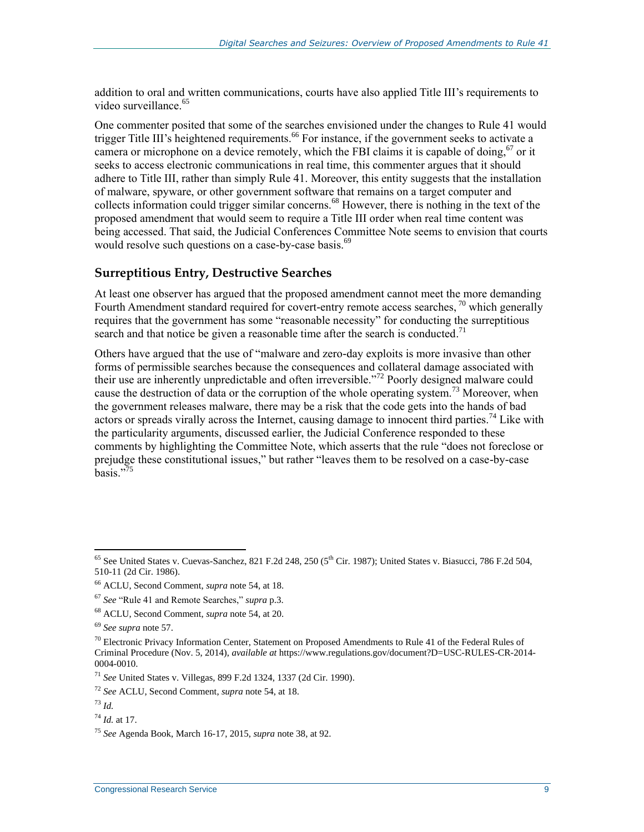addition to oral and written communications, courts have also applied Title III's requirements to video surveillance.<sup>65</sup>

One commenter posited that some of the searches envisioned under the changes to Rule 41 would trigger Title III's heightened requirements.<sup>66</sup> For instance, if the government seeks to activate a camera or microphone on a device remotely, which the FBI claims it is capable of doing,<sup>67</sup> or it seeks to access electronic communications in real time, this commenter argues that it should adhere to Title III, rather than simply Rule 41. Moreover, this entity suggests that the installation of malware, spyware, or other government software that remains on a target computer and collects information could trigger similar concerns.<sup>68</sup> However, there is nothing in the text of the proposed amendment that would seem to require a Title III order when real time content was being accessed. That said, the Judicial Conferences Committee Note seems to envision that courts would resolve such questions on a case-by-case basis.<sup>69</sup>

#### **Surreptitious Entry, Destructive Searches**

At least one observer has argued that the proposed amendment cannot meet the more demanding Fourth Amendment standard required for covert-entry remote access searches,  $\frac{70}{10}$  which generally requires that the government has some "reasonable necessity" for conducting the surreptitious search and that notice be given a reasonable time after the search is conducted.<sup>71</sup>

Others have argued that the use of "malware and zero-day exploits is more invasive than other forms of permissible searches because the consequences and collateral damage associated with their use are inherently unpredictable and often irreversible."<sup>72</sup> Poorly designed malware could cause the destruction of data or the corruption of the whole operating system.<sup>73</sup> Moreover, when the government releases malware, there may be a risk that the code gets into the hands of bad actors or spreads virally across the Internet, causing damage to innocent third parties.<sup>74</sup> Like with the particularity arguments, discussed earlier, the Judicial Conference responded to these comments by highlighting the Committee Note, which asserts that the rule "does not foreclose or prejudge these constitutional issues," but rather "leaves them to be resolved on a case-by-case  $\bar{b}$ asis<sup>"75</sup>

<sup>71</sup> *See* United States v. Villegas, 899 F.2d 1324, 1337 (2d Cir. 1990).

 $65$  See United States v. Cuevas-Sanchez, 821 F.2d 248, 250 ( $5<sup>th</sup>$  Cir. 1987); United States v. Biasucci, 786 F.2d 504, 510-11 (2d Cir. 1986).

<sup>66</sup> ACLU, Second Comment, *supra* note 54, at 18.

<sup>67</sup> *See* "Rule 41 and Remote Searches," *supra* p.3.

<sup>68</sup> ACLU, Second Comment, *supra* note 54, at 20.

<sup>69</sup> *See supra* note 57.

 $70$  Electronic Privacy Information Center, Statement on Proposed Amendments to Rule 41 of the Federal Rules of Criminal Procedure (Nov. 5, 2014), *available at* https://www.regulations.gov/document?D=USC-RULES-CR-2014- 0004-0010.

<sup>72</sup> *See* ACLU, Second Comment, *supra* note 54, at 18.

<sup>73</sup> *Id.*

<sup>74</sup> *Id.* at 17.

<sup>75</sup> *See* Agenda Book, March 16-17, 2015, *supra* note 38, at 92.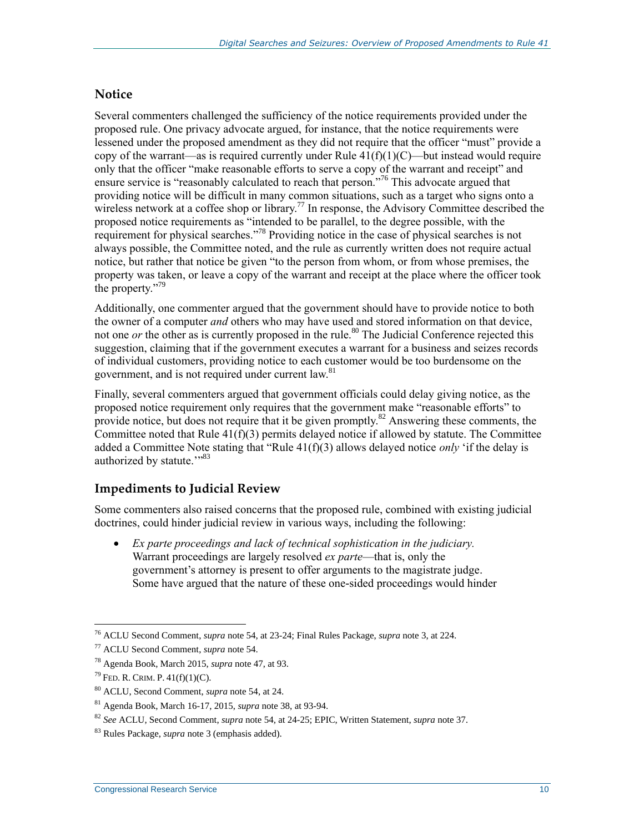#### **Notice**

Several commenters challenged the sufficiency of the notice requirements provided under the proposed rule. One privacy advocate argued, for instance, that the notice requirements were lessened under the proposed amendment as they did not require that the officer "must" provide a copy of the warrant—as is required currently under Rule  $41(f)(1)(C)$ —but instead would require only that the officer "make reasonable efforts to serve a copy of the warrant and receipt" and ensure service is "reasonably calculated to reach that person."<sup>76</sup> This advocate argued that providing notice will be difficult in many common situations, such as a target who signs onto a wireless network at a coffee shop or library.<sup>77</sup> In response, the Advisory Committee described the proposed notice requirements as "intended to be parallel, to the degree possible, with the requirement for physical searches."<sup>78</sup> Providing notice in the case of physical searches is not always possible, the Committee noted, and the rule as currently written does not require actual notice, but rather that notice be given "to the person from whom, or from whose premises, the property was taken, or leave a copy of the warrant and receipt at the place where the officer took the property."<sup>79</sup>

Additionally, one commenter argued that the government should have to provide notice to both the owner of a computer *and* others who may have used and stored information on that device, not one *or* the other as is currently proposed in the rule.<sup>80</sup> The Judicial Conference rejected this suggestion, claiming that if the government executes a warrant for a business and seizes records of individual customers, providing notice to each customer would be too burdensome on the government, and is not required under current law.<sup>81</sup>

Finally, several commenters argued that government officials could delay giving notice, as the proposed notice requirement only requires that the government make "reasonable efforts" to provide notice, but does not require that it be given promptly.<sup>82</sup> Answering these comments, the Committee noted that Rule  $41(f)(3)$  permits delayed notice if allowed by statute. The Committee added a Committee Note stating that "Rule 41(f)(3) allows delayed notice *only* 'if the delay is authorized by statute."<sup>33</sup>

#### **Impediments to Judicial Review**

Some commenters also raised concerns that the proposed rule, combined with existing judicial doctrines, could hinder judicial review in various ways, including the following:

 *Ex parte proceedings and lack of technical sophistication in the judiciary.*  Warrant proceedings are largely resolved *ex parte*—that is, only the government's attorney is present to offer arguments to the magistrate judge. Some have argued that the nature of these one-sided proceedings would hinder

 $\overline{a}$ <sup>76</sup> ACLU Second Comment, *supra* note 54, at 23-24; Final Rules Package, *supra* note 3, at 224.

<sup>77</sup> ACLU Second Comment, *supra* note 54.

<sup>78</sup> Agenda Book, March 2015, *supra* note 47, at 93.

 $^{79}$  FED. R. CRIM. P. 41(f)(1)(C).

<sup>80</sup> ACLU, Second Comment, *supra* note 54, at 24.

<sup>81</sup> Agenda Book, March 16-17, 2015, *supra* note 38, at 93-94.

<sup>82</sup> *See* ACLU, Second Comment, *supra* note 54, at 24-25; EPIC, Written Statement, *supra* note 37.

<sup>83</sup> Rules Package, *supra* note 3 (emphasis added).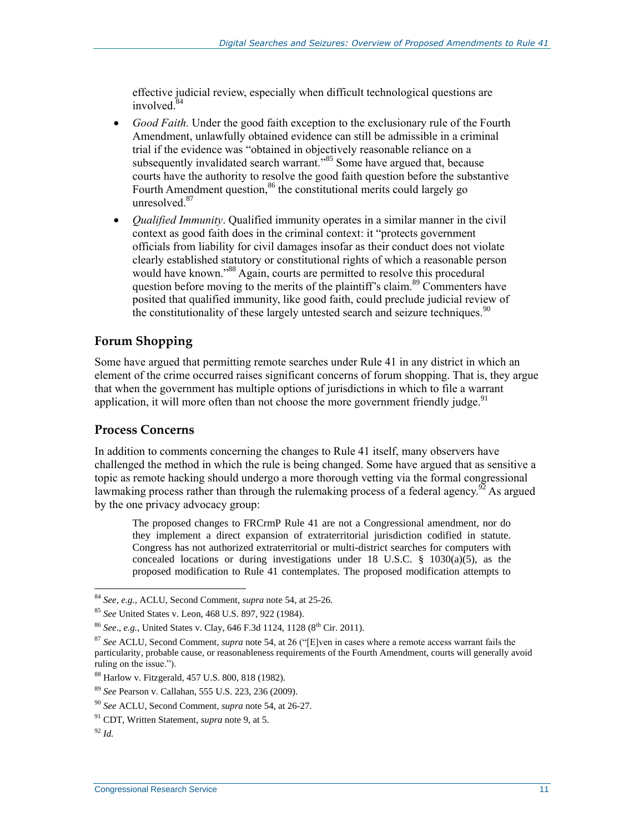effective judicial review, especially when difficult technological questions are involved. 84

- *Good Faith.* Under the good faith exception to the exclusionary rule of the Fourth Amendment, unlawfully obtained evidence can still be admissible in a criminal trial if the evidence was "obtained in objectively reasonable reliance on a subsequently invalidated search warrant.<sup>35</sup> Some have argued that, because courts have the authority to resolve the good faith question before the substantive Fourth Amendment question,<sup>86</sup> the constitutional merits could largely go unresolved<sup>87</sup>
- *Qualified Immunity*. Qualified immunity operates in a similar manner in the civil context as good faith does in the criminal context: it "protects government officials from liability for civil damages insofar as their conduct does not violate clearly established statutory or constitutional rights of which a reasonable person would have known."<sup>88</sup> Again, courts are permitted to resolve this procedural question before moving to the merits of the plaintiff's claim.<sup>89</sup> Commenters have posited that qualified immunity, like good faith, could preclude judicial review of the constitutionality of these largely untested search and seizure techniques.<sup>90</sup>

#### **Forum Shopping**

Some have argued that permitting remote searches under Rule 41 in any district in which an element of the crime occurred raises significant concerns of forum shopping. That is, they argue that when the government has multiple options of jurisdictions in which to file a warrant application, it will more often than not choose the more government friendly judge.<sup>91</sup>

#### **Process Concerns**

In addition to comments concerning the changes to Rule 41 itself, many observers have challenged the method in which the rule is being changed. Some have argued that as sensitive a topic as remote hacking should undergo a more thorough vetting via the formal congressional lawmaking process rather than through the rulemaking process of a federal agency.<sup>92</sup> As argued by the one privacy advocacy group:

The proposed changes to FRCrmP Rule 41 are not a Congressional amendment, nor do they implement a direct expansion of extraterritorial jurisdiction codified in statute. Congress has not authorized extraterritorial or multi-district searches for computers with concealed locations or during investigations under 18 U.S.C.  $\S$  1030(a)(5), as the proposed modification to Rule 41 contemplates. The proposed modification attempts to

 $\overline{a}$ <sup>84</sup> *See, e.g.*, ACLU, Second Comment, *supra* note 54, at 25-26.

<sup>85</sup> *See* United States v. Leon, 468 U.S. 897, 922 (1984).

<sup>&</sup>lt;sup>86</sup> *See., e.g., United States v. Clay, 646 F.3d 1124, 1128* (8<sup>th</sup> Cir. 2011).

<sup>87</sup> *See* ACLU, Second Comment, *supra* note 54, at 26 ("[E]ven in cases where a remote access warrant fails the particularity, probable cause, or reasonableness requirements of the Fourth Amendment, courts will generally avoid ruling on the issue.").

<sup>88</sup> Harlow v. Fitzgerald, 457 U.S. 800, 818 (1982).

<sup>89</sup> *See* Pearson v. Callahan, 555 U.S. 223, 236 (2009).

<sup>90</sup> *See* ACLU, Second Comment, *supra* note 54, at 26-27.

<sup>91</sup> CDT, Written Statement, *supra* note 9, at 5.

<sup>92</sup> *Id.*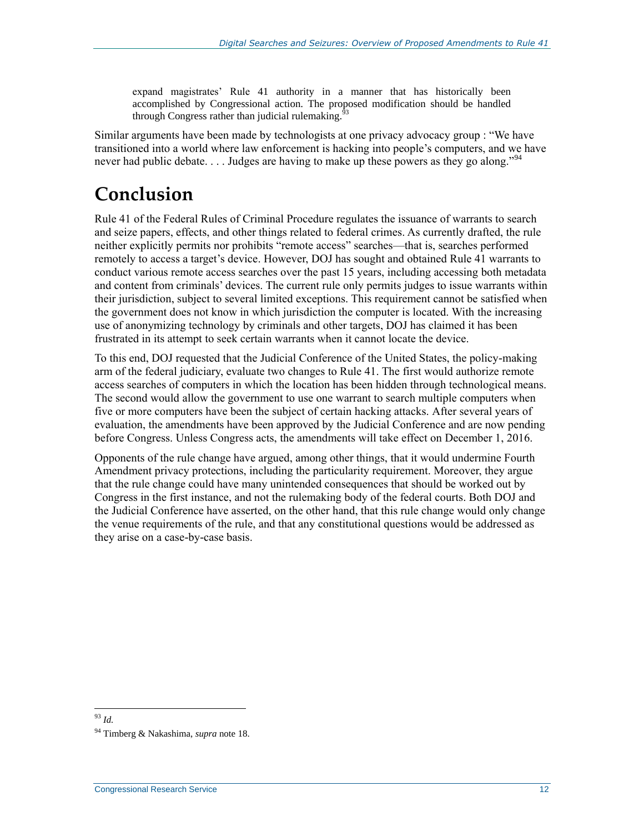expand magistrates' Rule 41 authority in a manner that has historically been accomplished by Congressional action. The proposed modification should be handled through Congress rather than judicial rulemaking. $63$ 

Similar arguments have been made by technologists at one privacy advocacy group : "We have transitioned into a world where law enforcement is hacking into people's computers, and we have never had public debate.  $\dots$  Judges are having to make up these powers as they go along."<sup>94</sup>

# **Conclusion**

Rule 41 of the Federal Rules of Criminal Procedure regulates the issuance of warrants to search and seize papers, effects, and other things related to federal crimes. As currently drafted, the rule neither explicitly permits nor prohibits "remote access" searches—that is, searches performed remotely to access a target's device. However, DOJ has sought and obtained Rule 41 warrants to conduct various remote access searches over the past 15 years, including accessing both metadata and content from criminals' devices. The current rule only permits judges to issue warrants within their jurisdiction, subject to several limited exceptions. This requirement cannot be satisfied when the government does not know in which jurisdiction the computer is located. With the increasing use of anonymizing technology by criminals and other targets, DOJ has claimed it has been frustrated in its attempt to seek certain warrants when it cannot locate the device.

To this end, DOJ requested that the Judicial Conference of the United States, the policy-making arm of the federal judiciary, evaluate two changes to Rule 41. The first would authorize remote access searches of computers in which the location has been hidden through technological means. The second would allow the government to use one warrant to search multiple computers when five or more computers have been the subject of certain hacking attacks. After several years of evaluation, the amendments have been approved by the Judicial Conference and are now pending before Congress. Unless Congress acts, the amendments will take effect on December 1, 2016.

Opponents of the rule change have argued, among other things, that it would undermine Fourth Amendment privacy protections, including the particularity requirement. Moreover, they argue that the rule change could have many unintended consequences that should be worked out by Congress in the first instance, and not the rulemaking body of the federal courts. Both DOJ and the Judicial Conference have asserted, on the other hand, that this rule change would only change the venue requirements of the rule, and that any constitutional questions would be addressed as they arise on a case-by-case basis.

 $\overline{a}$ <sup>93</sup> *Id.*

<sup>94</sup> Timberg & Nakashima, *supra* note 18.